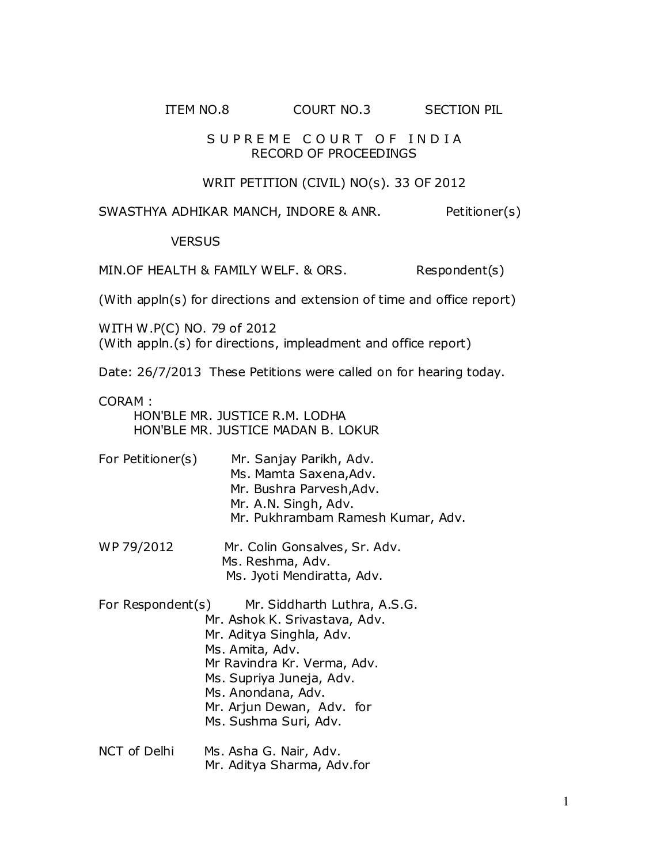# ITEM NO.8 COURT NO.3 SECTION PIL

#### SUPREME COURT OF INDIA RECORD OF PROCEEDINGS

## WRIT PETITION (CIVIL) NO(s). 33 OF 2012

SWASTHYA ADHIKAR MANCH, INDORE & ANR. Petitioner(s)

### **VERSUS**

MIN.OF HEALTH & FAMILY WELF. & ORS. Respondent(s)

(With appln(s) for directions and extension of time and office report)

WITH W.P(C) NO. 79 of 2012 (With appln.(s) for directions, impleadment and office report)

Date: 26/7/2013 These Petitions were called on for hearing today.

CORAM :

 HON'BLE MR. JUSTICE R.M. LODHA HON'BLE MR. JUSTICE MADAN B. LOKUR

- For Petitioner(s) Mr. Sanjay Parikh, Adv. Ms. Mamta Saxena,Adv. Mr. Bushra Parvesh,Adv. Mr. A.N. Singh, Adv. Mr. Pukhrambam Ramesh Kumar, Adv.
- WP 79/2012 Mr. Colin Gonsalves, Sr. Adv. Ms. Reshma, Adv. Ms. Jyoti Mendiratta, Adv.
- For Respondent(s) Mr. Siddharth Luthra, A.S.G. Mr. Ashok K. Srivastava, Adv. Mr. Aditya Singhla, Adv. Ms. Amita, Adv. Mr Ravindra Kr. Verma, Adv. Ms. Supriya Juneja, Adv. Ms. Anondana, Adv. Mr. Arjun Dewan, Adv. for Ms. Sushma Suri, Adv.
- NCT of Delhi Ms. Asha G. Nair, Adv. Mr. Aditya Sharma, Adv.for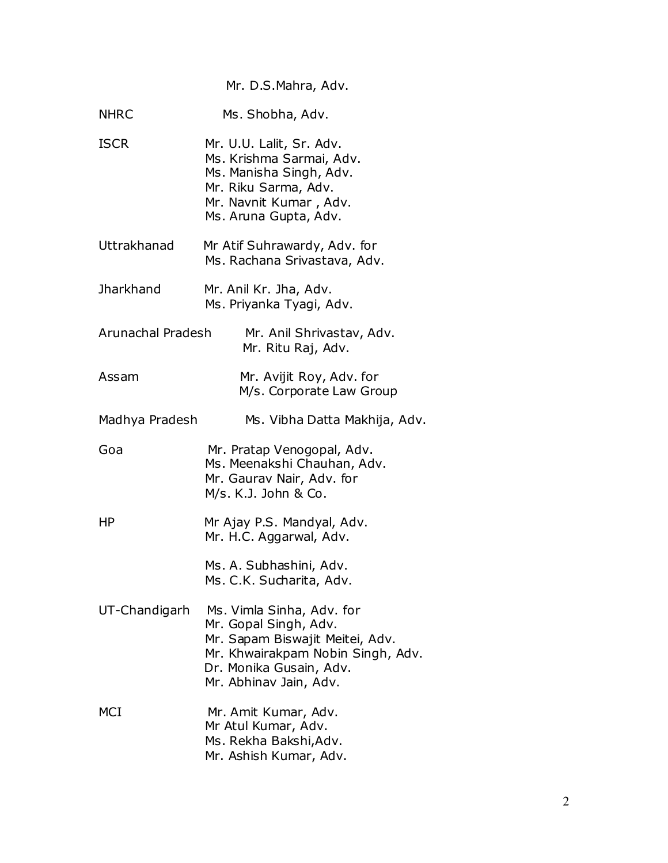Mr. D.S.Mahra, Adv.

| <b>NHRC</b>       | Ms. Shobha, Adv.                                                                                                                                                                |
|-------------------|---------------------------------------------------------------------------------------------------------------------------------------------------------------------------------|
| <b>ISCR</b>       | Mr. U.U. Lalit, Sr. Adv.<br>Ms. Krishma Sarmai, Adv.<br>Ms. Manisha Singh, Adv.<br>Mr. Riku Sarma, Adv.<br>Mr. Navnit Kumar, Adv.<br>Ms. Aruna Gupta, Adv.                      |
| Uttrakhanad       | Mr Atif Suhrawardy, Adv. for<br>Ms. Rachana Srivastava, Adv.                                                                                                                    |
| <b>Jharkhand</b>  | Mr. Anil Kr. Jha, Adv.<br>Ms. Priyanka Tyagi, Adv.                                                                                                                              |
| Arunachal Pradesh | Mr. Anil Shrivastav, Adv.<br>Mr. Ritu Raj, Adv.                                                                                                                                 |
| Assam             | Mr. Avijit Roy, Adv. for<br>M/s. Corporate Law Group                                                                                                                            |
| Madhya Pradesh    | Ms. Vibha Datta Makhija, Adv.                                                                                                                                                   |
| Goa               | Mr. Pratap Venogopal, Adv.<br>Ms. Meenakshi Chauhan, Adv.<br>Mr. Gaurav Nair, Adv. for<br>M/s. K.J. John & Co.                                                                  |
| ΗP                | Mr Ajay P.S. Mandyal, Adv.<br>Mr. H.C. Aggarwal, Adv.                                                                                                                           |
|                   | Ms. A. Subhashini, Adv.<br>Ms. C.K. Sucharita, Adv.                                                                                                                             |
| UT-Chandigarh     | Ms. Vimla Sinha, Adv. for<br>Mr. Gopal Singh, Adv.<br>Mr. Sapam Biswajit Meitei, Adv.<br>Mr. Khwairakpam Nobin Singh, Adv.<br>Dr. Monika Gusain, Adv.<br>Mr. Abhinav Jain, Adv. |
| MCI               | Mr. Amit Kumar, Adv.<br>Mr Atul Kumar, Adv.<br>Ms. Rekha Bakshi, Adv.<br>Mr. Ashish Kumar, Adv.                                                                                 |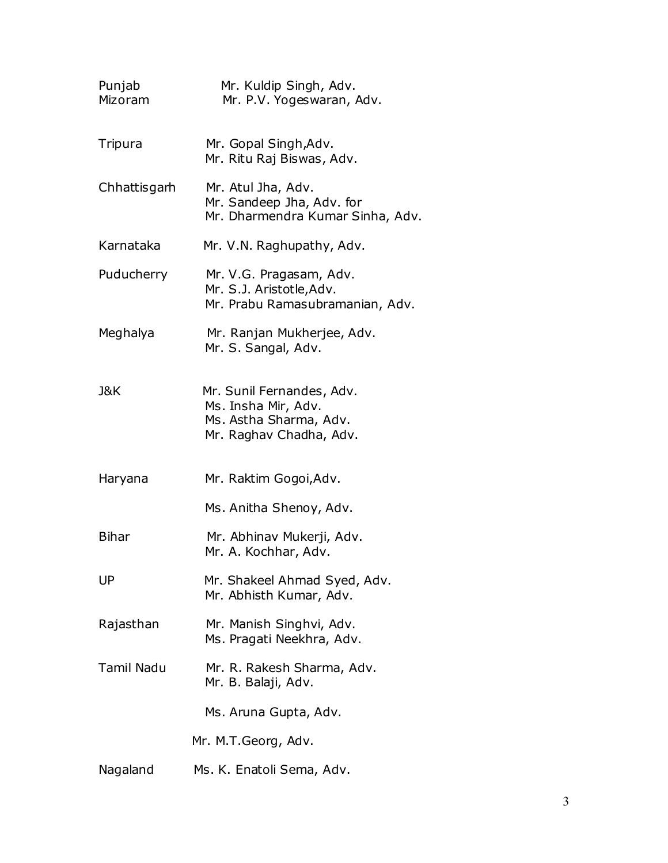| Punjab<br>Mizoram | Mr. Kuldip Singh, Adv.<br>Mr. P.V. Yogeswaran, Adv.                                                   |
|-------------------|-------------------------------------------------------------------------------------------------------|
| Tripura           | Mr. Gopal Singh, Adv.<br>Mr. Ritu Raj Biswas, Adv.                                                    |
| Chhattisgarh      | Mr. Atul Jha, Adv.<br>Mr. Sandeep Jha, Adv. for<br>Mr. Dharmendra Kumar Sinha, Adv.                   |
| Karnataka         | Mr. V.N. Raghupathy, Adv.                                                                             |
| Puducherry        | Mr. V.G. Pragasam, Adv.<br>Mr. S.J. Aristotle, Adv.<br>Mr. Prabu Ramasubramanian, Adv.                |
| Meghalya          | Mr. Ranjan Mukherjee, Adv.<br>Mr. S. Sangal, Adv.                                                     |
| J&K               | Mr. Sunil Fernandes, Adv.<br>Ms. Insha Mir, Adv.<br>Ms. Astha Sharma, Adv.<br>Mr. Raghav Chadha, Adv. |
| Haryana           | Mr. Raktim Gogoi, Adv.                                                                                |
|                   | Ms. Anitha Shenoy, Adv.                                                                               |
| <b>Bihar</b>      | Mr. Abhinav Mukerji, Adv.<br>Mr. A. Kochhar, Adv.                                                     |
| UP                | Mr. Shakeel Ahmad Syed, Adv.<br>Mr. Abhisth Kumar, Adv.                                               |
| Rajasthan         | Mr. Manish Singhvi, Adv.<br>Ms. Pragati Neekhra, Adv.                                                 |
| <b>Tamil Nadu</b> | Mr. R. Rakesh Sharma, Adv.<br>Mr. B. Balaji, Adv.                                                     |
|                   | Ms. Aruna Gupta, Adv.                                                                                 |
|                   | Mr. M.T.Georg, Adv.                                                                                   |
| Nagaland          | Ms. K. Enatoli Sema, Adv.                                                                             |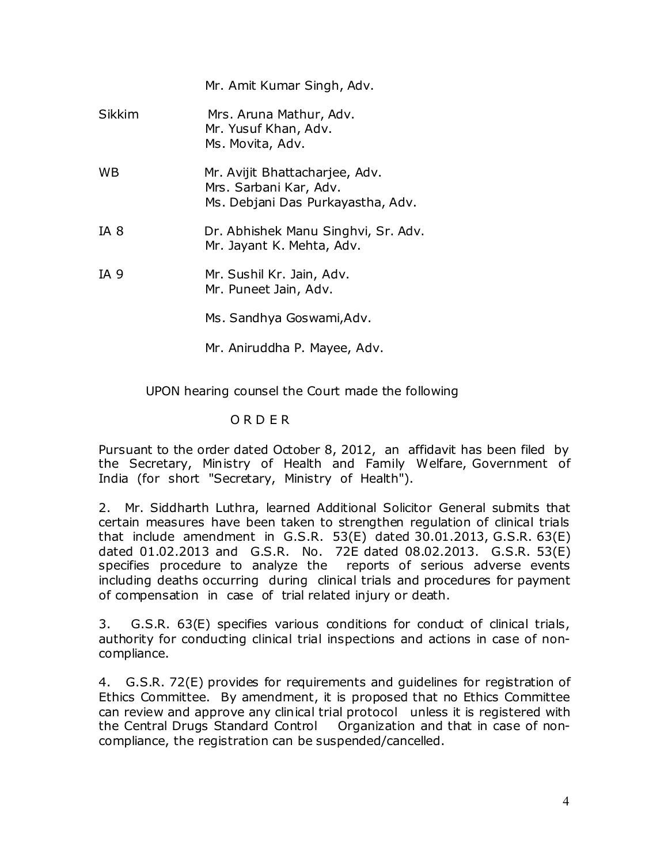|        | Mr. Amit Kumar Singh, Adv.                                                                    |
|--------|-----------------------------------------------------------------------------------------------|
| Sikkim | Mrs. Aruna Mathur, Adv.<br>Mr. Yusuf Khan, Adv.<br>Ms. Movita, Adv.                           |
| WВ     | Mr. Avijit Bhattacharjee, Adv.<br>Mrs. Sarbani Kar, Adv.<br>Ms. Debjani Das Purkayastha, Adv. |
| IA 8   | Dr. Abhishek Manu Singhvi, Sr. Adv.<br>Mr. Jayant K. Mehta, Adv.                              |
| IA 9   | Mr. Sushil Kr. Jain, Adv.<br>Mr. Puneet Jain, Adv.                                            |
|        | Ms. Sandhya Goswami, Adv.                                                                     |

Mr. Aniruddha P. Mayee, Adv.

UPON hearing counsel the Court made the following

# O R D E R

Pursuant to the order dated October 8, 2012, an affidavit has been filed by the Secretary, Ministry of Health and Family Welfare, Government of India (for short "Secretary, Ministry of Health").

2. Mr. Siddharth Luthra, learned Additional Solicitor General submits that certain measures have been taken to strengthen regulation of clinical trials that include amendment in G.S.R. 53(E) dated 30.01.2013, G.S.R. 63(E) dated 01.02.2013 and G.S.R. No. 72E dated 08.02.2013. G.S.R. 53(E) specifies procedure to analyze the reports of serious adverse events including deaths occurring during clinical trials and procedures for payment of compensation in case of trial related injury or death.

3. G.S.R. 63(E) specifies various conditions for conduct of clinical trials, authority for conducting clinical trial inspections and actions in case of noncompliance.

4. G.S.R. 72(E) provides for requirements and guidelines for registration of Ethics Committee. By amendment, it is proposed that no Ethics Committee can review and approve any clinical trial protocol unless it is registered with the Central Drugs Standard Control Organization and that in case of noncompliance, the registration can be suspended/cancelled.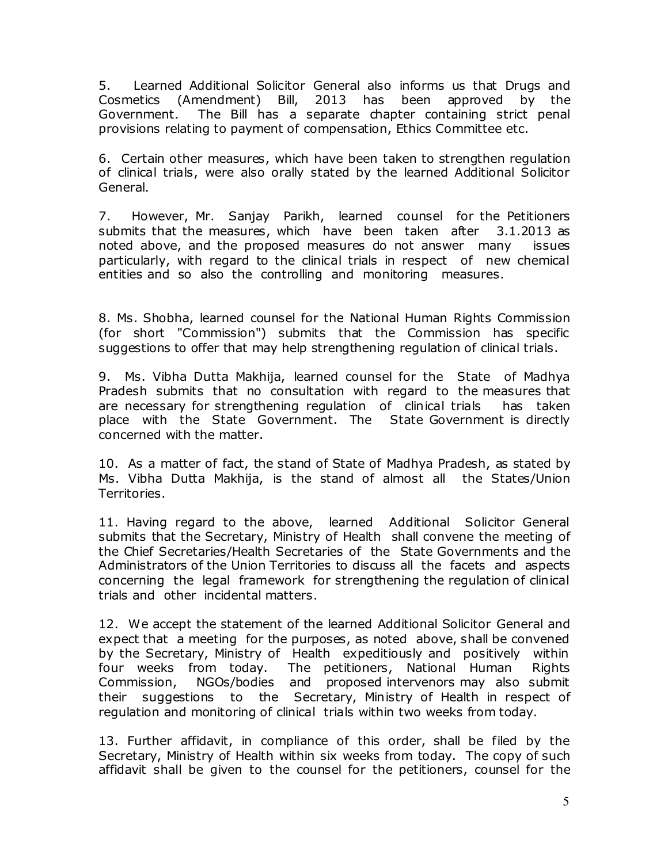5. Learned Additional Solicitor General also informs us that Drugs and Cosmetics (Amendment) Bill, 2013 has been approved by the Government. The Bill has a separate chapter containing strict penal provisions relating to payment of compensation, Ethics Committee etc.

6. Certain other measures, which have been taken to strengthen regulation of clinical trials, were also orally stated by the learned Additional Solicitor General.

7. However, Mr. Sanjay Parikh, learned counsel for the Petitioners submits that the measures, which have been taken after 3.1.2013 as noted above, and the proposed measures do not answer many issues particularly, with regard to the clinical trials in respect of new chemical entities and so also the controlling and monitoring measures.

8. Ms. Shobha, learned counsel for the National Human Rights Commission (for short "Commission") submits that the Commission has specific suggestions to offer that may help strengthening regulation of clinical trials.

9. Ms. Vibha Dutta Makhija, learned counsel for the State of Madhya Pradesh submits that no consultation with regard to the measures that are necessary for strengthening regulation of clinical trials has taken place with the State Government. The State Government is directly concerned with the matter.

10. As a matter of fact, the stand of State of Madhya Pradesh, as stated by Ms. Vibha Dutta Makhija, is the stand of almost all the States/Union Territories.

11. Having regard to the above, learned Additional Solicitor General submits that the Secretary, Ministry of Health shall convene the meeting of the Chief Secretaries/Health Secretaries of the State Governments and the Administrators of the Union Territories to discuss all the facets and aspects concerning the legal framework for strengthening the regulation of clinical trials and other incidental matters.

12. We accept the statement of the learned Additional Solicitor General and expect that a meeting for the purposes, as noted above, shall be convened by the Secretary, Ministry of Health expeditiously and positively within four weeks from today. The petitioners, National Human Rights Commission, NGOs/bodies and proposed intervenors may also submit their suggestions to the Secretary, Ministry of Health in respect of regulation and monitoring of clinical trials within two weeks from today.

13. Further affidavit, in compliance of this order, shall be filed by the Secretary, Ministry of Health within six weeks from today. The copy of such affidavit shall be given to the counsel for the petitioners, counsel for the